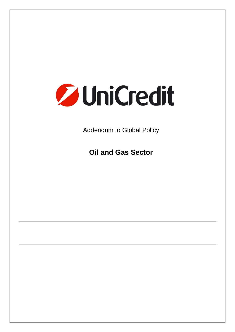

Addendum to Global Policy

**Oil and Gas Sector**